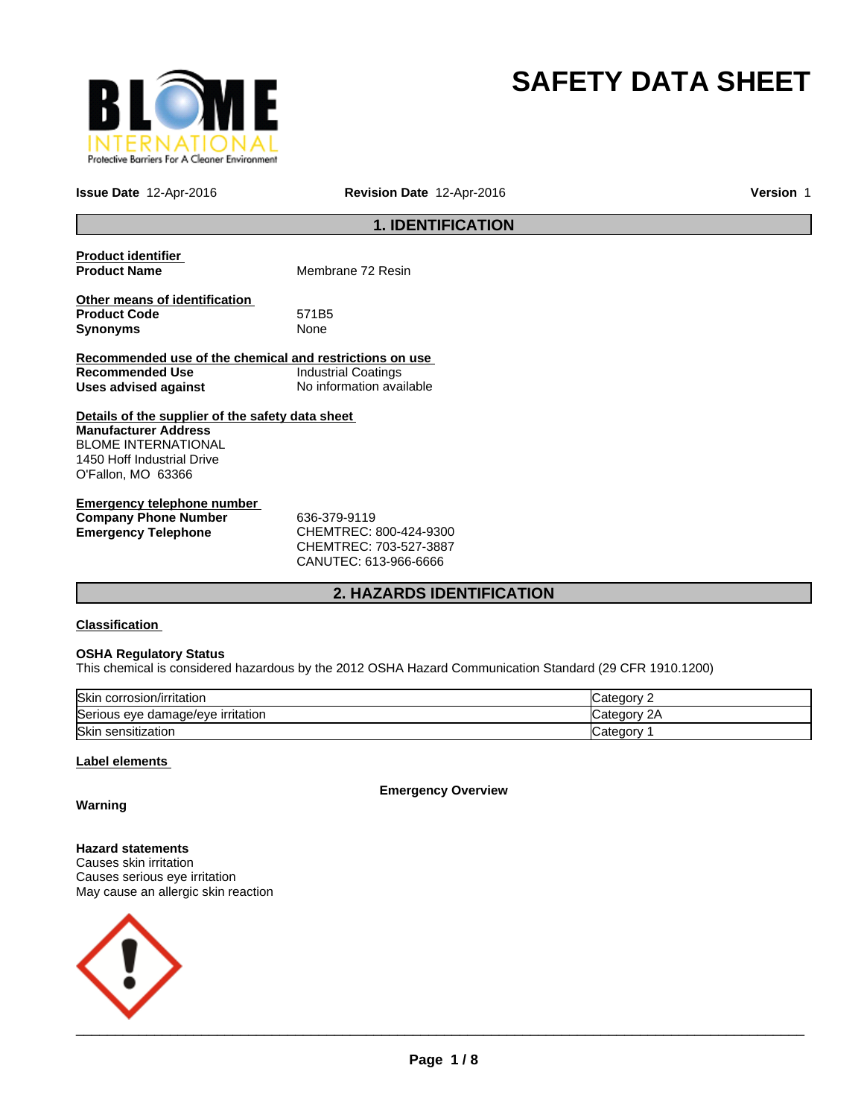

# **SAFETY DATA SHEET**

**Issue Date** 12-Apr-2016 **Revision Date** 12-Apr-2016 **Version** 1

# **1. IDENTIFICATION**

| <b>Product identifier</b><br><b>Product Name</b>                        | Membrane 72 Resin          |  |  |
|-------------------------------------------------------------------------|----------------------------|--|--|
| Other means of identification<br><b>Product Code</b><br><b>Synonyms</b> | 571B5<br>None              |  |  |
| Recommended use of the chemical and restrictions on use                 |                            |  |  |
| Recommended Use                                                         | <b>Industrial Coatings</b> |  |  |
| Uses advised against                                                    | No information available   |  |  |
| Details of the supplier of the safety data sheet                        |                            |  |  |
| <b>Manufacturer Address</b>                                             |                            |  |  |
| <b>BLOME INTERNATIONAL</b>                                              |                            |  |  |
| 1450 Hoff Industrial Drive                                              |                            |  |  |
| O'Fallon, MO 63366                                                      |                            |  |  |
| Emarganev talanhana numbar                                              |                            |  |  |

| Emergency telephone number  |                            |
|-----------------------------|----------------------------|
| <b>Company Phone Number</b> | 636-379-9119               |
| Emergency Telephone         | CHEMTREC: 800-424-9300     |
|                             | CUTEM T D E C·702 E27 2007 |

CHEMTREC: 703-527-3887 CANUTEC: 613-966-6666

# **2. HAZARDS IDENTIFICATION**

### **Classification**

#### **OSHA Regulatory Status**

This chemical is considered hazardous by the 2012 OSHA Hazard Communication Standard (29 CFR 1910.1200)

| Skin corrosion/irritation         | Category        |
|-----------------------------------|-----------------|
| Serious eye damage/eye irritation | 2A<br>∵ategorvٽ |
| Skin sensitization                | √ategor∪        |

#### **Label elements**

**Emergency Overview**

**Warning**

**Hazard statements** Causes skin irritation Causes serious eye irritation May cause an allergic skin reaction

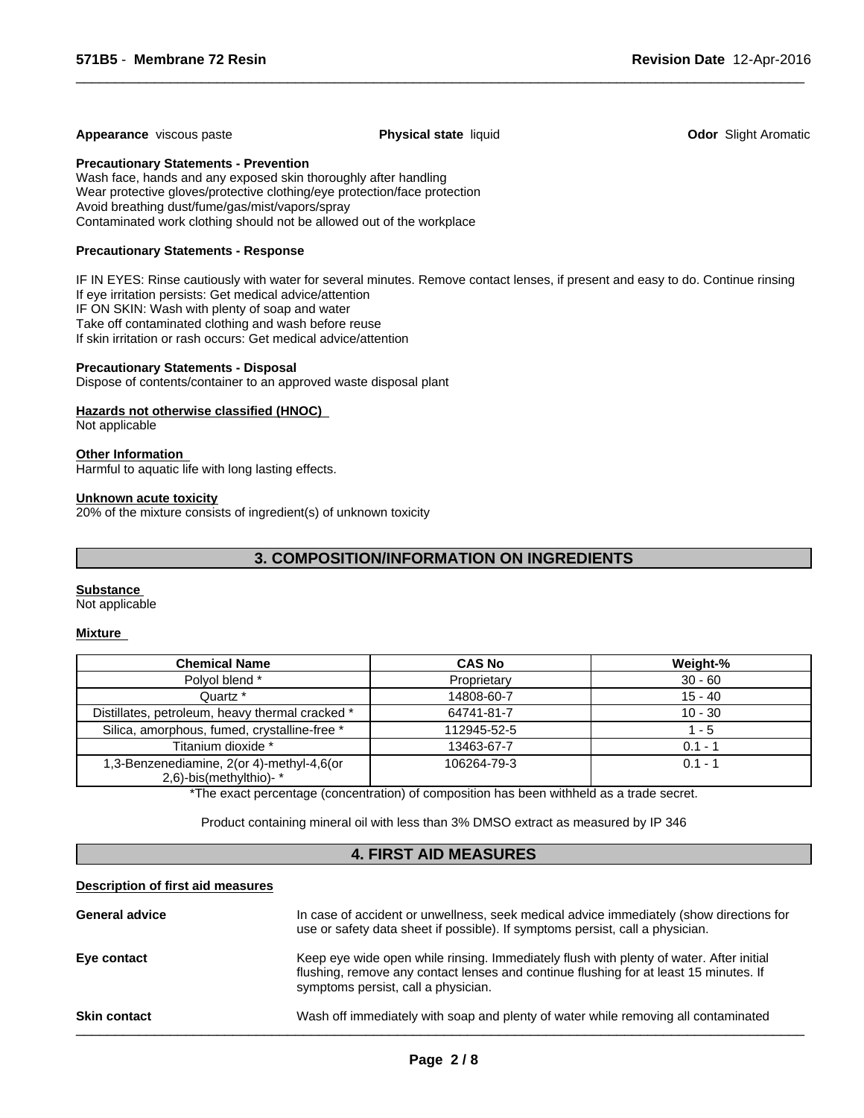#### **Appearance** viscous paste **Physical state** liquid **Physical state is a state of the Constanting Constant Arabic Aromatic Constant Physical state liquid <b>Odor** Slight Aromatic

 $\overline{\phantom{a}}$  ,  $\overline{\phantom{a}}$  ,  $\overline{\phantom{a}}$  ,  $\overline{\phantom{a}}$  ,  $\overline{\phantom{a}}$  ,  $\overline{\phantom{a}}$  ,  $\overline{\phantom{a}}$  ,  $\overline{\phantom{a}}$  ,  $\overline{\phantom{a}}$  ,  $\overline{\phantom{a}}$  ,  $\overline{\phantom{a}}$  ,  $\overline{\phantom{a}}$  ,  $\overline{\phantom{a}}$  ,  $\overline{\phantom{a}}$  ,  $\overline{\phantom{a}}$  ,  $\overline{\phantom{a}}$ 

**Precautionary Statements - Prevention**

Wash face, hands and any exposed skin thoroughly after handling Wear protective gloves/protective clothing/eye protection/face protection Avoid breathing dust/fume/gas/mist/vapors/spray Contaminated work clothing should not be allowed out of the workplace

#### **Precautionary Statements - Response**

IF IN EYES: Rinse cautiously with water for several minutes. Remove contact lenses, if present and easy to do. Continue rinsing If eye irritation persists: Get medical advice/attention IF ON SKIN: Wash with plenty of soap and water Take off contaminated clothing and wash before reuse If skin irritation or rash occurs: Get medical advice/attention

#### **Precautionary Statements - Disposal**

Dispose of contents/container to an approved waste disposal plant

#### **Hazards not otherwise classified (HNOC)**

Not applicable

#### **Other Information**

Harmful to aquatic life with long lasting effects.

#### **Unknown acute toxicity**

20% of the mixture consists of ingredient(s) of unknown toxicity

# **3. COMPOSITION/INFORMATION ON INGREDIENTS**

#### **Substance**

Not applicable

#### **Mixture**

| <b>Chemical Name</b>                                                | <b>CAS No</b> | Weight-%  |
|---------------------------------------------------------------------|---------------|-----------|
| Polvol blend *                                                      | Proprietary   | $30 - 60$ |
| Quartz *                                                            | 14808-60-7    | $15 - 40$ |
| Distillates, petroleum, heavy thermal cracked *                     | 64741-81-7    | $10 - 30$ |
| Silica, amorphous, fumed, crystalline-free *                        | 112945-52-5   | 1 - 5     |
| Titanium dioxide *                                                  | 13463-67-7    | $0.1 - 1$ |
| 1,3-Benzenediamine, 2(or 4)-methyl-4,6(or<br>2,6)-bis(methylthio)-* | 106264-79-3   | $0.1 - 1$ |

\*The exact percentage (concentration) of composition has been withheld as a trade secret.

Product containing mineral oil with less than 3% DMSO extract as measured by IP 346

# **4. FIRST AID MEASURES**

#### **Description of first aid measures**

| <b>General advice</b> | In case of accident or unwellness, seek medical advice immediately (show directions for<br>use or safety data sheet if possible). If symptoms persist, call a physician.                                                |
|-----------------------|-------------------------------------------------------------------------------------------------------------------------------------------------------------------------------------------------------------------------|
| Eye contact           | Keep eye wide open while rinsing. Immediately flush with plenty of water. After initial<br>flushing, remove any contact lenses and continue flushing for at least 15 minutes. If<br>symptoms persist, call a physician. |
| <b>Skin contact</b>   | Wash off immediately with soap and plenty of water while removing all contaminated                                                                                                                                      |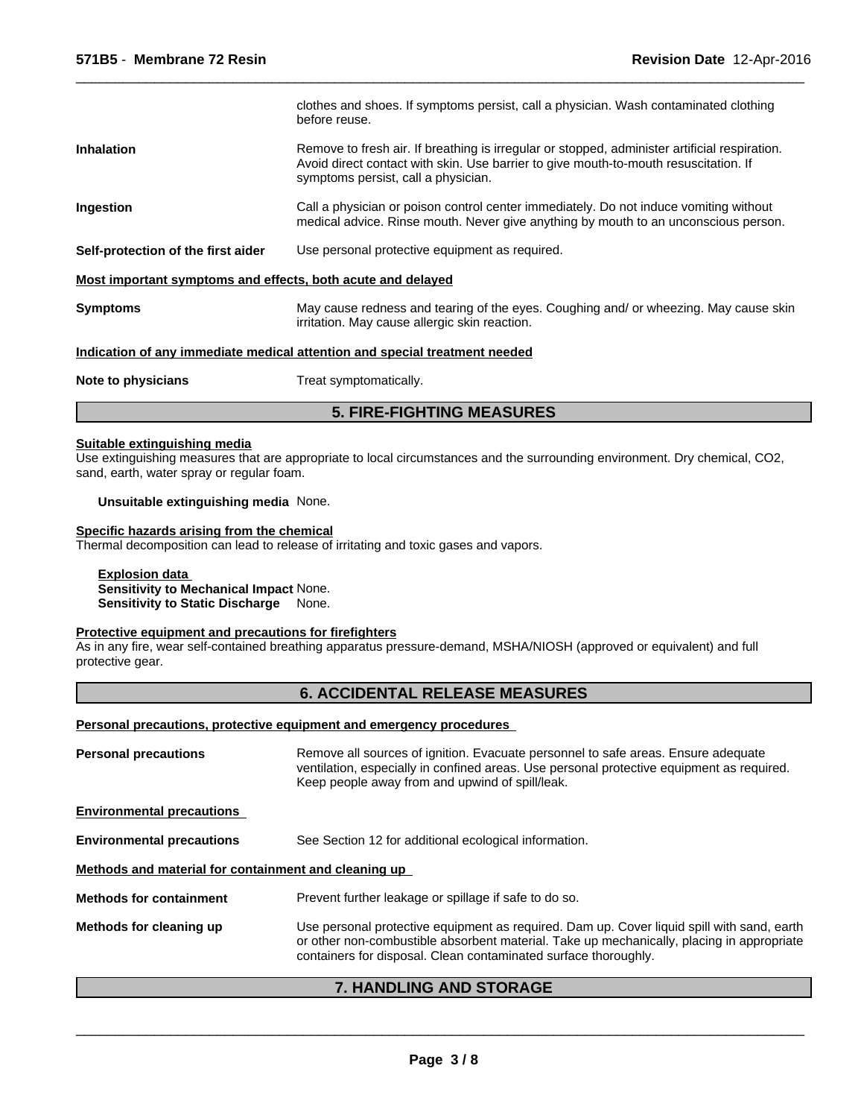|                                                             | <b>5. FIRE-FIGHTING MEASURES</b>                                                                                                                                                                                             |
|-------------------------------------------------------------|------------------------------------------------------------------------------------------------------------------------------------------------------------------------------------------------------------------------------|
| Note to physicians                                          | Treat symptomatically.                                                                                                                                                                                                       |
|                                                             | Indication of any immediate medical attention and special treatment needed                                                                                                                                                   |
| <b>Symptoms</b>                                             | May cause redness and tearing of the eyes. Coughing and/or wheezing. May cause skin<br>irritation. May cause allergic skin reaction.                                                                                         |
| Most important symptoms and effects, both acute and delayed |                                                                                                                                                                                                                              |
| Self-protection of the first aider                          | Use personal protective equipment as required.                                                                                                                                                                               |
| Ingestion                                                   | Call a physician or poison control center immediately. Do not induce vomiting without<br>medical advice. Rinse mouth. Never give anything by mouth to an unconscious person.                                                 |
| <b>Inhalation</b>                                           | Remove to fresh air. If breathing is irregular or stopped, administer artificial respiration.<br>Avoid direct contact with skin. Use barrier to give mouth-to-mouth resuscitation. If<br>symptoms persist, call a physician. |
|                                                             | clothes and shoes. If symptoms persist, call a physician. Wash contaminated clothing<br>before reuse.                                                                                                                        |

 $\overline{\phantom{a}}$  ,  $\overline{\phantom{a}}$  ,  $\overline{\phantom{a}}$  ,  $\overline{\phantom{a}}$  ,  $\overline{\phantom{a}}$  ,  $\overline{\phantom{a}}$  ,  $\overline{\phantom{a}}$  ,  $\overline{\phantom{a}}$  ,  $\overline{\phantom{a}}$  ,  $\overline{\phantom{a}}$  ,  $\overline{\phantom{a}}$  ,  $\overline{\phantom{a}}$  ,  $\overline{\phantom{a}}$  ,  $\overline{\phantom{a}}$  ,  $\overline{\phantom{a}}$  ,  $\overline{\phantom{a}}$ 

#### **Suitable extinguishing media**

Use extinguishing measures that are appropriate to local circumstances and the surrounding environment. Dry chemical, CO2, sand, earth, water spray or regular foam.

#### **Unsuitable extinguishing media** None.

#### **Specific hazards arising from the chemical**

Thermal decomposition can lead to release of irritating and toxic gases and vapors.

**Explosion data Sensitivity to Mechanical Impact** None. **Sensitivity to Static Discharge** None.

#### **Protective equipment and precautions for firefighters**

As in any fire, wear self-contained breathing apparatus pressure-demand, MSHA/NIOSH (approved or equivalent) and full protective gear.

### **6. ACCIDENTAL RELEASE MEASURES**

#### **Personal precautions, protective equipment and emergency procedures**

| Remove all sources of ignition. Evacuate personnel to safe areas. Ensure adequate<br>ventilation, especially in confined areas. Use personal protective equipment as required.<br>Keep people away from and upwind of spill/leak.                          |  |  |
|------------------------------------------------------------------------------------------------------------------------------------------------------------------------------------------------------------------------------------------------------------|--|--|
|                                                                                                                                                                                                                                                            |  |  |
| See Section 12 for additional ecological information.                                                                                                                                                                                                      |  |  |
| Methods and material for containment and cleaning up                                                                                                                                                                                                       |  |  |
| Prevent further leakage or spillage if safe to do so.                                                                                                                                                                                                      |  |  |
| Use personal protective equipment as required. Dam up. Cover liquid spill with sand, earth<br>or other non-combustible absorbent material. Take up mechanically, placing in appropriate<br>containers for disposal. Clean contaminated surface thoroughly. |  |  |
|                                                                                                                                                                                                                                                            |  |  |

# **7. HANDLING AND STORAGE**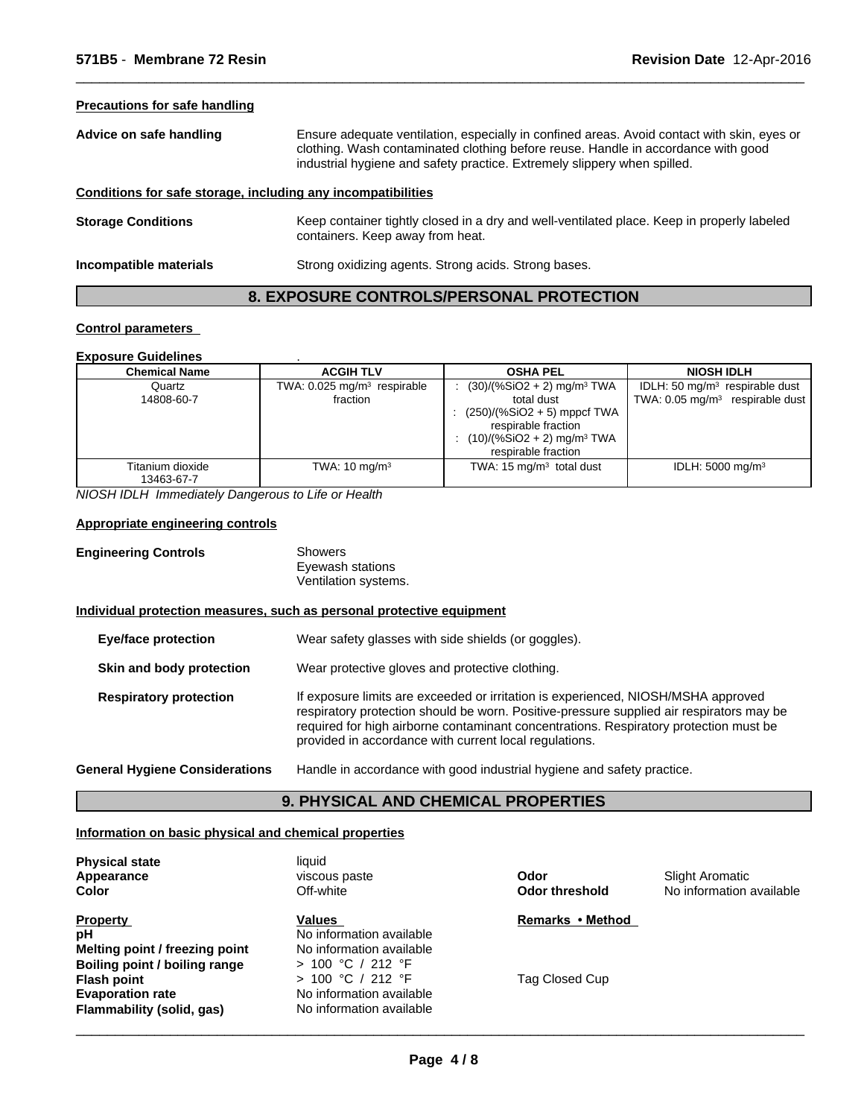#### **Precautions for safe handling**

**Advice on safe handling** Ensure adequate ventilation, especially in confined areas. Avoid contact with skin, eyes or clothing. Wash contaminated clothing before reuse. Handle in accordance with good industrial hygiene and safety practice. Extremely slippery when spilled.

 $\overline{\phantom{a}}$  ,  $\overline{\phantom{a}}$  ,  $\overline{\phantom{a}}$  ,  $\overline{\phantom{a}}$  ,  $\overline{\phantom{a}}$  ,  $\overline{\phantom{a}}$  ,  $\overline{\phantom{a}}$  ,  $\overline{\phantom{a}}$  ,  $\overline{\phantom{a}}$  ,  $\overline{\phantom{a}}$  ,  $\overline{\phantom{a}}$  ,  $\overline{\phantom{a}}$  ,  $\overline{\phantom{a}}$  ,  $\overline{\phantom{a}}$  ,  $\overline{\phantom{a}}$  ,  $\overline{\phantom{a}}$ 

# **Conditions for safe storage, including any incompatibilities**

| <b>Storage Conditions</b> | Keep container tightly closed in a dry and well-ventilated place. Keep in properly labeled<br>containers. Keep away from heat. |
|---------------------------|--------------------------------------------------------------------------------------------------------------------------------|
| Incompatible materials    | Strong oxidizing agents. Strong acids. Strong bases.                                                                           |

# **8. EXPOSURE CONTROLS/PERSONAL PROTECTION**

#### **Control parameters**

| <b>Exposure Guidelines</b>     |                                                     |                                                                                                                                                                                     |                                                                                   |
|--------------------------------|-----------------------------------------------------|-------------------------------------------------------------------------------------------------------------------------------------------------------------------------------------|-----------------------------------------------------------------------------------|
| <b>Chemical Name</b>           | <b>ACGIH TLV</b>                                    | <b>OSHA PEL</b>                                                                                                                                                                     | <b>NIOSH IDLH</b>                                                                 |
| Quartz<br>14808-60-7           | TWA: 0.025 mg/m <sup>3</sup> respirable<br>fraction | $(30)/(%SiO2 + 2)$ mg/m <sup>3</sup> TWA<br>total dust<br>: $(250)/(%SiO2 + 5)$ mppcf TWA<br>respirable fraction<br>$(10)/(%SiO2 + 2)$ mg/m <sup>3</sup> TWA<br>respirable fraction | IDLH: 50 $mq/m3$ respirable dust<br>TWA: $0.05$ mg/m <sup>3</sup> respirable dust |
| Titanium dioxide<br>13463-67-7 | TWA: $10 \text{ mg/m}^3$                            | TWA: $15 \text{ mg/m}^3$ total dust                                                                                                                                                 | IDLH: $5000 \text{ mg/m}^3$                                                       |

*NIOSH IDLH Immediately Dangerous to Life or Health*

#### **Appropriate engineering controls**

| <b>Engineering Controls</b> | Showers              |
|-----------------------------|----------------------|
|                             | Eyewash stations     |
|                             | Ventilation systems. |

#### **Individual protection measures, such as personal protective equipment**

| <b>Eye/face protection</b>            | Wear safety glasses with side shields (or goggles).                                                                                                                                                                                                                                                                              |
|---------------------------------------|----------------------------------------------------------------------------------------------------------------------------------------------------------------------------------------------------------------------------------------------------------------------------------------------------------------------------------|
| Skin and body protection              | Wear protective gloves and protective clothing.                                                                                                                                                                                                                                                                                  |
| <b>Respiratory protection</b>         | If exposure limits are exceeded or irritation is experienced, NIOSH/MSHA approved<br>respiratory protection should be worn. Positive-pressure supplied air respirators may be<br>required for high airborne contaminant concentrations. Respiratory protection must be<br>provided in accordance with current local regulations. |
| <b>General Hygiene Considerations</b> | Handle in accordance with good industrial hygiene and safety practice.                                                                                                                                                                                                                                                           |

# **9. PHYSICAL AND CHEMICAL PROPERTIES**

#### **Information on basic physical and chemical properties**

| Appearance                     | viscous paste  |  |
|--------------------------------|----------------|--|
| Color                          | Off-white      |  |
| Property                       | <b>Values</b>  |  |
| pН                             | No information |  |
| Melting point / freezing point | No information |  |
| Boiling point / boiling range  | > 100 °C / 2   |  |
| Flash point                    | > 100 °C / 2   |  |
| <b>Evaporation rate</b>        | No information |  |
| Flammability (solid, gas)      | No information |  |

**Physical state** liquid

#### **Medicion available Boiling point / boiling range** > 100 °C / 212 °F **Flash point** > 100 °C / 212 °F **Evalue information available Filam** information available **Values p** information available

**Odor**

**Odor threshold** No information available Slight Aromatic

**Remarks•Method**

Tag Closed Cup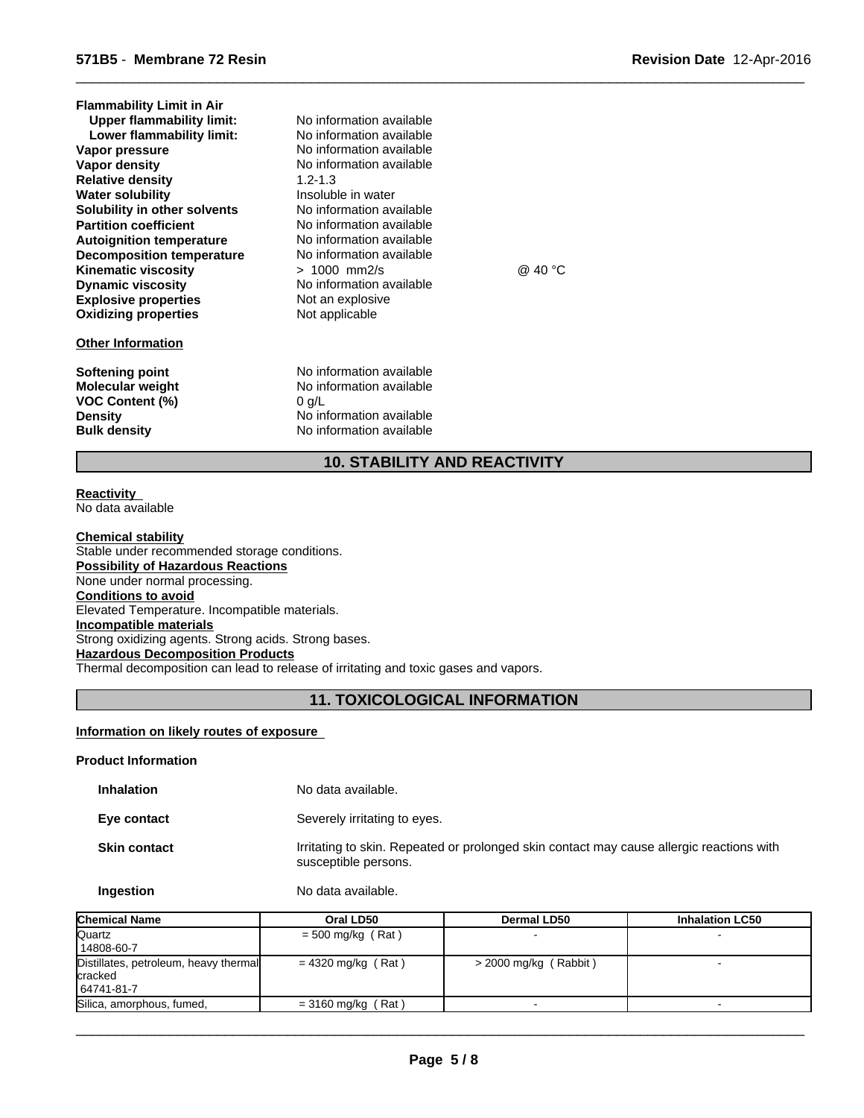| <b>Flammability Limit in Air</b><br><b>Upper flammability limit:</b><br>Lower flammability limit:<br>Vapor pressure<br>Vapor density<br><b>Relative density</b><br><b>Water solubility</b><br>Solubility in other solvents<br><b>Partition coefficient</b><br><b>Autoignition temperature</b><br><b>Decomposition temperature</b><br><b>Kinematic viscosity</b><br><b>Dynamic viscosity</b><br><b>Explosive properties</b><br><b>Oxidizing properties</b><br><b>Other Information</b> | No information available<br>No information available<br>No information available<br>No information available<br>$1.2 - 1.3$<br>Insoluble in water<br>No information available<br>No information available<br>No information available<br>No information available<br>$> 1000$ mm2/s<br>No information available<br>Not an explosive<br>Not applicable | @ 40 °C |
|---------------------------------------------------------------------------------------------------------------------------------------------------------------------------------------------------------------------------------------------------------------------------------------------------------------------------------------------------------------------------------------------------------------------------------------------------------------------------------------|-------------------------------------------------------------------------------------------------------------------------------------------------------------------------------------------------------------------------------------------------------------------------------------------------------------------------------------------------------|---------|
| Softening point<br>Molecular weight<br><b>VOC Content (%)</b><br><b>Density</b>                                                                                                                                                                                                                                                                                                                                                                                                       | No information available<br>No information available<br>$0$ g/L<br>No information available                                                                                                                                                                                                                                                           |         |

**Density Density Density No** information available **Bulk density No** information available

 $\overline{\phantom{a}}$  ,  $\overline{\phantom{a}}$  ,  $\overline{\phantom{a}}$  ,  $\overline{\phantom{a}}$  ,  $\overline{\phantom{a}}$  ,  $\overline{\phantom{a}}$  ,  $\overline{\phantom{a}}$  ,  $\overline{\phantom{a}}$  ,  $\overline{\phantom{a}}$  ,  $\overline{\phantom{a}}$  ,  $\overline{\phantom{a}}$  ,  $\overline{\phantom{a}}$  ,  $\overline{\phantom{a}}$  ,  $\overline{\phantom{a}}$  ,  $\overline{\phantom{a}}$  ,  $\overline{\phantom{a}}$ 

# **10. STABILITY AND REACTIVITY**

**No information available** 

#### **Reactivity**  No data available

**Chemical stability** Stable under recommended storage conditions. **Possibility of Hazardous Reactions** None under normal processing. **Conditions to avoid** Elevated Temperature. Incompatible materials. **Incompatible materials** Strong oxidizing agents. Strong acids. Strong bases. **Hazardous Decomposition Products** Thermal decomposition can lead to release of irritating and toxic gases and vapors.

# **11. TOXICOLOGICAL INFORMATION**

# **Information on likely routes of exposure**

#### **Product Information**

| <b>Inhalation</b>   | No data available.                                                                                               |
|---------------------|------------------------------------------------------------------------------------------------------------------|
| Eye contact         | Severely irritating to eyes.                                                                                     |
| <b>Skin contact</b> | Irritating to skin. Repeated or prolonged skin contact may cause allergic reactions with<br>susceptible persons. |

**Ingestion** No data available.

| <b>Chemical Name</b>                                                  | Oral LD50            | Dermal LD50             | <b>Inhalation LC50</b> |
|-----------------------------------------------------------------------|----------------------|-------------------------|------------------------|
| Quartz<br>14808-60-7                                                  | $=$ 500 mg/kg (Rat)  |                         |                        |
| Distillates, petroleum, heavy thermal<br><b>cracked</b><br>64741-81-7 | $= 4320$ mg/kg (Rat) | $>$ 2000 mg/kg (Rabbit) |                        |
| Silica, amorphous, fumed,                                             | $=$ 3160 mg/kg (Rat) |                         |                        |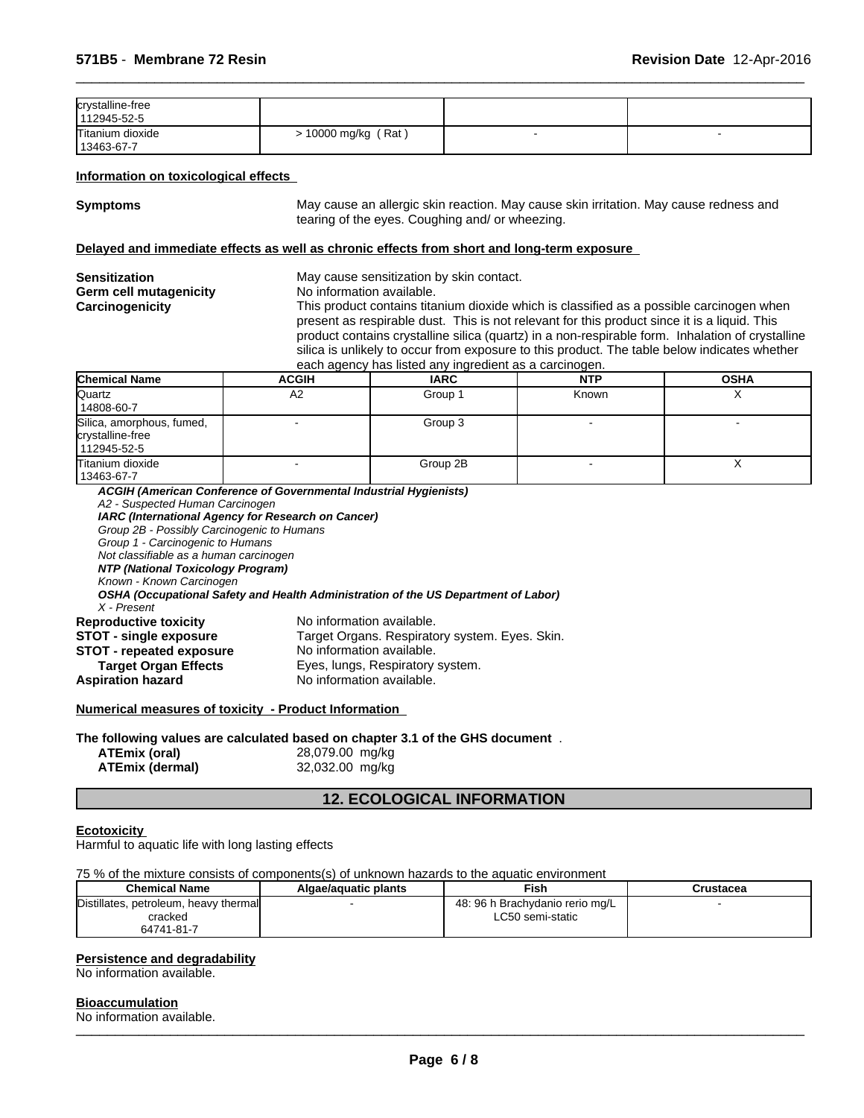| crystalline-free<br>112945-52-5  |                       |  |
|----------------------------------|-----------------------|--|
| Titanium dioxide<br>  13463-67-7 | $> 10000$ mg/kg (Rat) |  |

#### **Information on toxicological effects**

**Symptoms** May cause an allergic skin reaction. May cause skin irritation. May cause redness and tearing of the eyes. Coughing and/ or wheezing.

 $\overline{\phantom{a}}$  ,  $\overline{\phantom{a}}$  ,  $\overline{\phantom{a}}$  ,  $\overline{\phantom{a}}$  ,  $\overline{\phantom{a}}$  ,  $\overline{\phantom{a}}$  ,  $\overline{\phantom{a}}$  ,  $\overline{\phantom{a}}$  ,  $\overline{\phantom{a}}$  ,  $\overline{\phantom{a}}$  ,  $\overline{\phantom{a}}$  ,  $\overline{\phantom{a}}$  ,  $\overline{\phantom{a}}$  ,  $\overline{\phantom{a}}$  ,  $\overline{\phantom{a}}$  ,  $\overline{\phantom{a}}$ 

#### **Delayed and immediate effects as well as chronic effects from short and long-term exposure**

| <b>Sensitization</b>                                         |                                                                                    | May cause sensitization by skin contact.                                                         |            |             |  |
|--------------------------------------------------------------|------------------------------------------------------------------------------------|--------------------------------------------------------------------------------------------------|------------|-------------|--|
| <b>Germ cell mutagenicity</b>                                | No information available.                                                          |                                                                                                  |            |             |  |
| Carcinogenicity                                              |                                                                                    | This product contains titanium dioxide which is classified as a possible carcinogen when         |            |             |  |
|                                                              |                                                                                    | present as respirable dust. This is not relevant for this product since it is a liquid. This     |            |             |  |
|                                                              |                                                                                    | product contains crystalline silica (quartz) in a non-respirable form. Inhalation of crystalline |            |             |  |
|                                                              |                                                                                    | silica is unlikely to occur from exposure to this product. The table below indicates whether     |            |             |  |
|                                                              |                                                                                    | each agency has listed any ingredient as a carcinogen.                                           |            |             |  |
| <b>Chemical Name</b>                                         | <b>ACGIH</b>                                                                       | <b>IARC</b>                                                                                      | <b>NTP</b> | <b>OSHA</b> |  |
| Quartz<br>14808-60-7                                         | A2                                                                                 | Group 1                                                                                          | Known      | X           |  |
| Silica, amorphous, fumed,<br>crystalline-free<br>112945-52-5 |                                                                                    | Group 3                                                                                          |            |             |  |
| Titanium dioxide<br>13463-67-7                               |                                                                                    | Group 2B                                                                                         |            | X           |  |
| A2 - Suspected Human Carcinogen                              | ACGIH (American Conference of Governmental Industrial Hygienists)                  |                                                                                                  |            |             |  |
|                                                              | IARC (International Agency for Research on Cancer)                                 |                                                                                                  |            |             |  |
| Group 2B - Possibly Carcinogenic to Humans                   |                                                                                    |                                                                                                  |            |             |  |
| Group 1 - Carcinogenic to Humans                             |                                                                                    |                                                                                                  |            |             |  |
| Not classifiable as a human carcinogen                       |                                                                                    |                                                                                                  |            |             |  |
| NTP (National Toxicology Program)                            |                                                                                    |                                                                                                  |            |             |  |
| Known - Known Carcinogen                                     |                                                                                    |                                                                                                  |            |             |  |
| X - Present                                                  | OSHA (Occupational Safety and Health Administration of the US Department of Labor) |                                                                                                  |            |             |  |

| <b>Reproductive toxicity</b>    | No information available.                      |
|---------------------------------|------------------------------------------------|
| <b>STOT - single exposure</b>   | Target Organs. Respiratory system. Eyes. Skin. |
| <b>STOT - repeated exposure</b> | No information available.                      |
| <b>Target Organ Effects</b>     | Eyes, lungs, Respiratory system.               |
| Aspiration hazard               | No information available.                      |

**Numerical measures of toxicity - Product Information** 

**The following values are calculated based on chapter 3.1 of the GHS document** .

| ATEmix (oral)          | 28,079.00 mg/kg |  |
|------------------------|-----------------|--|
| <b>ATEmix (dermal)</b> | 32,032.00 mg/kg |  |

# **12. ECOLOGICAL INFORMATION**

#### **Ecotoxicity**

Harmful to aquatic life with long lasting effects

75 % of the mixture consists of components(s) of unknown hazards to the aquatic environment

| <b>Chemical Name</b>                  | Algae/aguatic plants | Fish                            | Crustacea |
|---------------------------------------|----------------------|---------------------------------|-----------|
| Distillates, petroleum, heavy thermal |                      | 48: 96 h Brachydanio rerio mg/L |           |
| cracked                               |                      | LC50 semi-static                |           |
| 64741-81-7                            |                      |                                 |           |

# **Persistence and degradability**

No information available.

#### **Bioaccumulation**

No information available. \_\_\_\_\_\_\_\_\_\_\_\_\_\_\_\_\_\_\_\_\_\_\_\_\_\_\_\_\_\_\_\_\_\_\_\_\_\_\_\_\_\_\_\_\_\_\_\_\_\_\_\_\_\_\_\_\_\_\_\_\_\_\_\_\_\_\_\_\_\_\_\_\_\_\_\_\_\_\_\_\_\_\_\_\_\_\_\_\_\_\_\_\_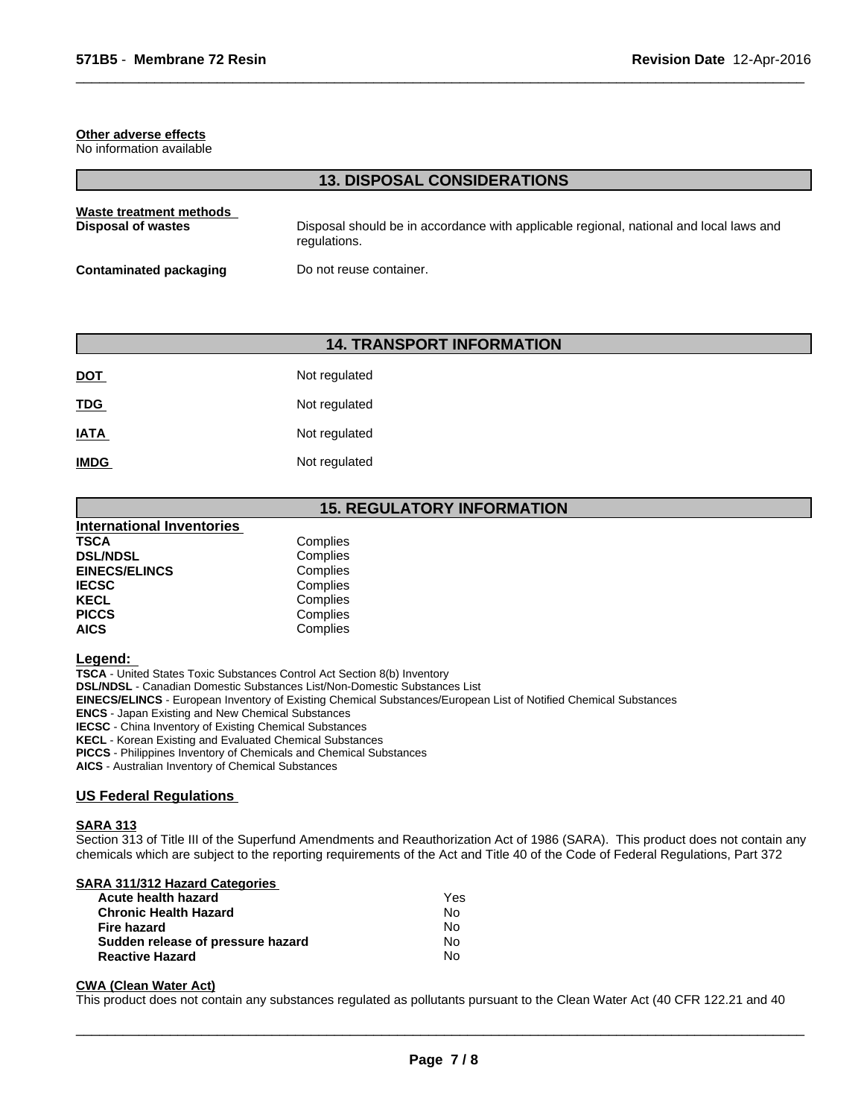#### **Other adverse effects**

No information available

#### **13. DISPOSAL CONSIDERATIONS**

 $\overline{\phantom{a}}$  ,  $\overline{\phantom{a}}$  ,  $\overline{\phantom{a}}$  ,  $\overline{\phantom{a}}$  ,  $\overline{\phantom{a}}$  ,  $\overline{\phantom{a}}$  ,  $\overline{\phantom{a}}$  ,  $\overline{\phantom{a}}$  ,  $\overline{\phantom{a}}$  ,  $\overline{\phantom{a}}$  ,  $\overline{\phantom{a}}$  ,  $\overline{\phantom{a}}$  ,  $\overline{\phantom{a}}$  ,  $\overline{\phantom{a}}$  ,  $\overline{\phantom{a}}$  ,  $\overline{\phantom{a}}$ 

| Waste treatment methods | Disposal should be in accordance with applicable regional, national and local laws and |
|-------------------------|----------------------------------------------------------------------------------------|
| Disposal of wastes      | regulations.                                                                           |
| Contaminated packaging  | Do not reuse container.                                                                |

# **14. TRANSPORT INFORMATION**

| <b>DOT</b>  | Not regulated |
|-------------|---------------|
| <b>TDG</b>  | Not regulated |
| <b>IATA</b> | Not regulated |
| <b>IMDG</b> | Not regulated |

# **15. REGULATORY INFORMATION**

| Complies |  |
|----------|--|
| Complies |  |
| Complies |  |
| Complies |  |
| Complies |  |
| Complies |  |
| Complies |  |
|          |  |

#### **Legend:**

**TSCA** - United States Toxic Substances Control Act Section 8(b) Inventory

**DSL/NDSL** - Canadian Domestic Substances List/Non-Domestic Substances List

**EINECS/ELINCS** - European Inventory of Existing Chemical Substances/European List of Notified Chemical Substances

**ENCS** - Japan Existing and New Chemical Substances

**IECSC** - China Inventory of Existing Chemical Substances

**KECL** - Korean Existing and Evaluated Chemical Substances

**PICCS** - Philippines Inventory of Chemicals and Chemical Substances

**AICS** - Australian Inventory of Chemical Substances

#### **US Federal Regulations**

#### **SARA 313**

Section 313 of Title III of the Superfund Amendments and Reauthorization Act of 1986 (SARA). This product does not contain any chemicals which are subject to the reporting requirements of the Act and Title 40 of the Code of Federal Regulations, Part 372

# **SARA 311/312 Hazard Categories**

| Acute health hazard               | Yes |
|-----------------------------------|-----|
| <b>Chronic Health Hazard</b>      | N٥  |
| Fire hazard                       | N٥  |
| Sudden release of pressure hazard | No. |
| <b>Reactive Hazard</b>            | N٥  |

#### **CWA (Clean Water Act)**

This product does not contain any substances regulated as pollutants pursuant to the Clean Water Act (40 CFR 122.21 and 40